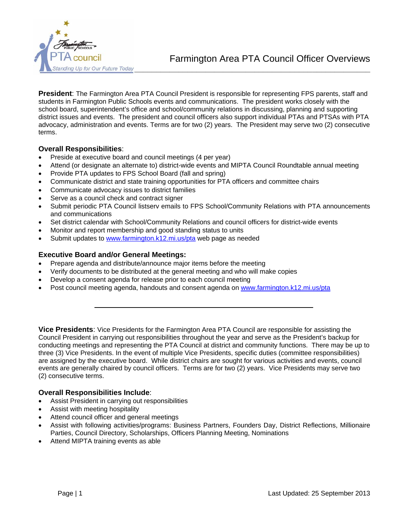

Farmington Area PTA Council Officer Overviews

**President**: The Farmington Area PTA Council President is responsible for representing FPS parents, staff and students in Farmington Public Schools events and communications. The president works closely with the school board, superintendent's office and school/community relations in discussing, planning and supporting district issues and events. The president and council officers also support individual PTAs and PTSAs with PTA advocacy, administration and events. Terms are for two (2) years. The President may serve two (2) consecutive terms.

# **Overall Responsibilities**:

- Preside at executive board and council meetings (4 per year)
- Attend (or designate an alternate to) district-wide events and MIPTA Council Roundtable annual meeting
- Provide PTA updates to FPS School Board (fall and spring)
- Communicate district and state training opportunities for PTA officers and committee chairs
- Communicate advocacy issues to district families
- Serve as a council check and contract signer
- Submit periodic PTA Council listserv emails to FPS School/Community Relations with PTA announcements and communications
- Set district calendar with School/Community Relations and council officers for district-wide events
- Monitor and report membership and good standing status to units
- Submit updates to [www.farmington.k12.mi.us/pta](http://www.farmington.k12.mi.us/pta) web page as needed

## **Executive Board and/or General Meetings:**

- Prepare agenda and distribute/announce major items before the meeting
- Verify documents to be distributed at the general meeting and who will make copies
- Develop a consent agenda for release prior to each council meeting
- Post council meeting agenda, handouts and consent agenda on [www.farmington.k12.mi.us/pta](http://www.farmington.k12.mi.us/pta)

**Vice Presidents**: Vice Presidents for the Farmington Area PTA Council are responsible for assisting the Council President in carrying out responsibilities throughout the year and serve as the President's backup for conducting meetings and representing the PTA Council at district and community functions. There may be up to three (3) Vice Presidents. In the event of multiple Vice Presidents, specific duties (committee responsibilities) are assigned by the executive board. While district chairs are sought for various activities and events, council events are generally chaired by council officers. Terms are for two (2) years. Vice Presidents may serve two (2) consecutive terms.

## **Overall Responsibilities Include**:

- Assist President in carrying out responsibilities
- Assist with meeting hospitality
- Attend council officer and general meetings
- Assist with following activities/programs: Business Partners, Founders Day, District Reflections, Millionaire Parties, Council Directory, Scholarships, Officers Planning Meeting, Nominations
- Attend MIPTA training events as able